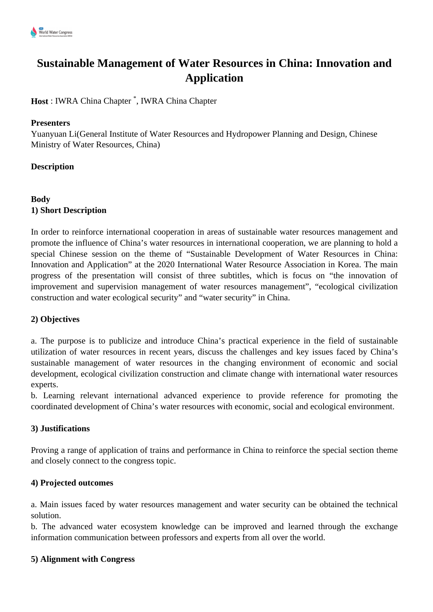

# **Sustainable Management of Water Resources in China: Innovation and Application**

**Host** : IWRA China Chapter \* , IWRA China Chapter

#### **Presenters**

Yuanyuan Li(General Institute of Water Resources and Hydropower Planning and Design, Chinese Ministry of Water Resources, China)

## **Description**

# **Body 1) Short Description**

In order to reinforce international cooperation in areas of sustainable water resources management and promote the influence of China's water resources in international cooperation, we are planning to hold a special Chinese session on the theme of "Sustainable Development of Water Resources in China: Innovation and Application" at the 2020 International Water Resource Association in Korea. The main progress of the presentation will consist of three subtitles, which is focus on "the innovation of improvement and supervision management of water resources management", "ecological civilization construction and water ecological security" and "water security" in China.

#### **2) Objectives**

a. The purpose is to publicize and introduce China's practical experience in the field of sustainable utilization of water resources in recent years, discuss the challenges and key issues faced by China's sustainable management of water resources in the changing environment of economic and social development, ecological civilization construction and climate change with international water resources experts.

b. Learning relevant international advanced experience to provide reference for promoting the coordinated development of China's water resources with economic, social and ecological environment.

#### **3) Justifications**

Proving a range of application of trains and performance in China to reinforce the special section theme and closely connect to the congress topic.

#### **4) Projected outcomes**

a. Main issues faced by water resources management and water security can be obtained the technical solution.

b. The advanced water ecosystem knowledge can be improved and learned through the exchange information communication between professors and experts from all over the world.

#### **5) Alignment with Congress**